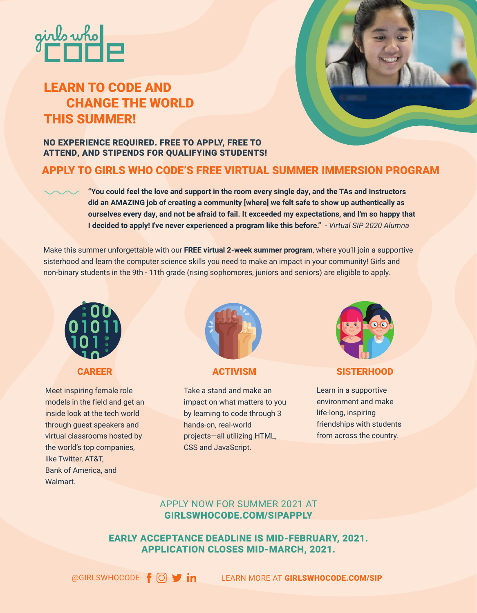

# LEARN TO CODE AND CHANGE THE WORLD THIS SUMMER!



# NO EXPERIENCE REQUIRED. FREE TO APPLY, FREE TO ATTEND, AND STIPENDS FOR QUALIFYING STUDENTS!

# APPLY TO GIRLS WHO CODE'S FREE VIRTUAL SUMMER IMMERSION PROGRAM

**"You could feel the love and support in the room every single day, and the TAs and Instructors did an AMAZING job of creating a community [where] we felt safe to show up authentically as ourselves every day, and not be afraid to fail. It exceeded my expectations, and I'm so happy that I decided to apply! I've never experienced a program like this before."** *- Virtual SIP 2020 Alumna*

Make this summer unforgettable with our **FREE virtual 2-week summer program**, where you'll join a supportive sisterhood and learn the computer science skills you need to make an impact in your community! Girls and non-binary students in the 9th - 11th grade (rising sophomores, juniors and seniors) are eligible to apply.



Meet inspiring female role models in the field and get an inside look at the tech world through guest speakers and virtual classrooms hosted by the world's top companies, like Twitter, AT&T, Bank of America, and Walmart.



Take a stand and make an impact on what matters to you by learning to code through 3 hands-on, real-world projects—all utilizing HTML, CSS and JavaScript.



**CAREER ACTIVISM SISTERHOOD** 

Learn in a supportive environment and make life-long, inspiring friendships with students from across the country.

# APPLY NOW FOR SUMMER 2021 AT GIRLSWHOCODE.COM/SIPAPPLY

EARLY ACCEPTANCE DEADLINE IS MID-FEBRUARY, 2021. APPLICATION CLOSES MID-MARCH, 2021.

 $\circledR$ GIRLSWHOCODE  $\mathsf{f}$   $\circlearrowleft$   $\mathsf{g}$  in Learn more at GIRLSWHOCODE.COM/SIP